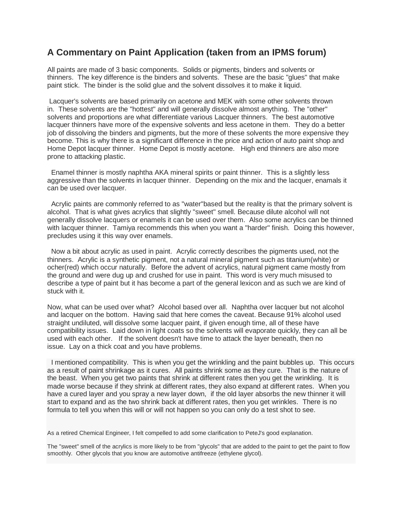## **A Commentary on Paint Application (taken from an IPMS forum)**

All paints are made of 3 basic components. Solids or pigments, binders and solvents or thinners. The key difference is the binders and solvents. These are the basic "glues" that make paint stick. The binder is the solid glue and the solvent dissolves it to make it liquid.

Lacquer's solvents are based primarily on acetone and MEK with some other solvents thrown in. These solvents are the "hottest" and will generally dissolve almost anything. The "other" solvents and proportions are what differentiate various Lacquer thinners. The best automotive lacquer thinners have more of the expensive solvents and less acetone in them. They do a better job of dissolving the binders and pigments, but the more of these solvents the more expensive they become. This is why there is a significant difference in the price and action of auto paint shop and Home Depot lacquer thinner. Home Depot is mostly acetone. High end thinners are also more prone to attacking plastic.

Enamel thinner is mostly naphtha AKA mineral spirits or paint thinner. This is a slightly less aggressive than the solvents in lacquer thinner. Depending on the mix and the lacquer, enamals it can be used over lacquer.

Acrylic paints are commonly referred to as "water"based but the reality is that the primary solvent is alcohol. That is what gives acrylics that slightly "sweet" smell. Because dilute alcohol will not generally dissolve lacquers or enamels it can be used over them. Also some acrylics can be thinned with lacquer thinner. Tamiya recommends this when you want a "harder" finish. Doing this however, precludes using it this way over enamels.

Now a bit about acrylic as used in paint. Acrylic correctly describes the pigments used, not the thinners. Acrylic is a synthetic pigment, not a natural mineral pigment such as titanium(white) or ocher(red) which occur naturally. Before the advent of acrylics, natural pigment came mostly from the ground and were dug up and crushed for use in paint. This word is very much misused to describe a type of paint but it has become a part of the general lexicon and as such we are kind of stuck with it.

Now, what can be used over what? Alcohol based over all. Naphtha over lacquer but not alcohol and lacquer on the bottom. Having said that here comes the caveat. Because 91% alcohol used straight undiluted, will dissolve some lacquer paint, if given enough time, all of these have compatibility issues. Laid down in light coats so the solvents will evaporate quickly, they can all be used with each other. If the solvent doesn't have time to attack the layer beneath, then no issue. Lay on a thick coat and you have problems.

I mentioned compatibility. This is when you get the wrinkling and the paint bubbles up. This occurs as a result of paint shrinkage as it cures. All paints shrink some as they cure. That is the nature of the beast. When you get two paints that shrink at different rates then you get the wrinkling. It is made worse because if they shrink at different rates, they also expand at different rates. When you have a cured layer and you spray a new layer down, if the old layer absorbs the new thinner it will start to expand and as the two shrink back at different rates, then you get wrinkles. There is no formula to tell you when this will or will not happen so you can only do a test shot to see.

As a retired Chemical Engineer, I felt compelled to add some clarification to PeteJ's good explanation.

The "sweet" smell of the acrylics is more likely to be from "glycols" that are added to the paint to get the paint to flow smoothly. Other glycols that you know are automotive antifreeze (ethylene glycol).